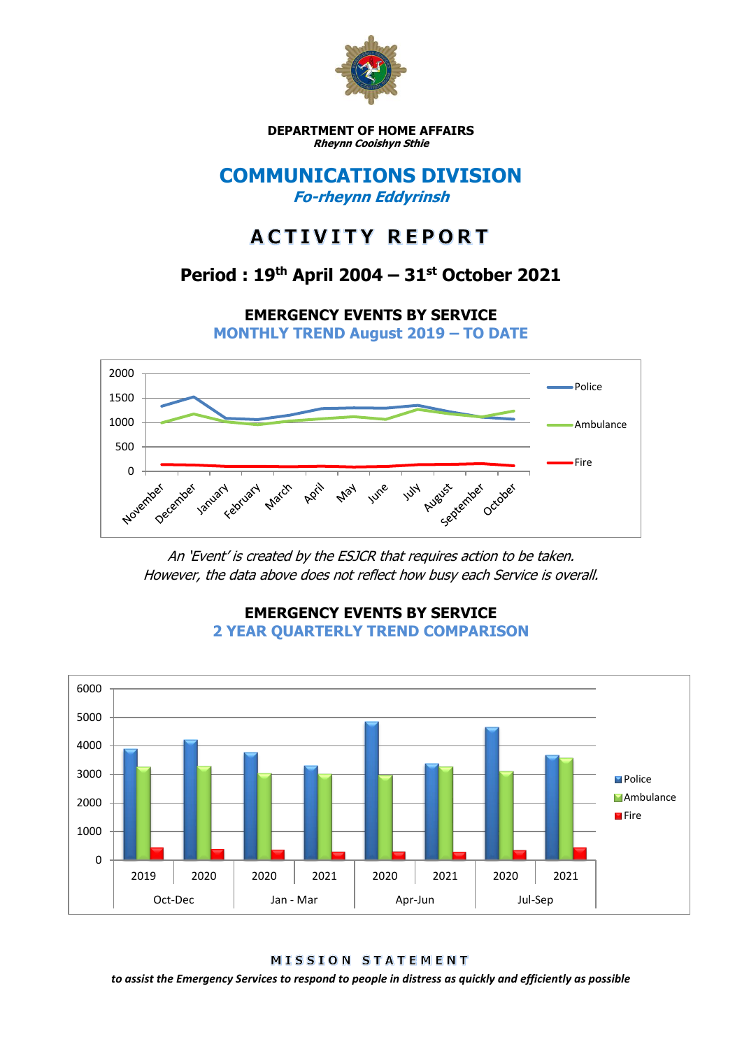

**DEPARTMENT OF HOME AFFAIRS Rheynn Cooishyn Sthie**

## **COMMUNICATIONS DIVISION Fo-rheynn Eddyrinsh**

# **ACTIVITY REPORT**

## **Period : 19th April 2004 – 31st October 2021**

**EMERGENCY EVENTS BY SERVICE**

**MONTHLY TREND August 2019 – TO DATE**



An 'Event' is created by the ESJCR that requires action to be taken. However, the data above does not reflect how busy each Service is overall.



**EMERGENCY EVENTS BY SERVICE 2 YEAR QUARTERLY TREND COMPARISON**

MISSION STATEMENT

*to assist the Emergency Services to respond to people in distress as quickly and efficiently as possible*